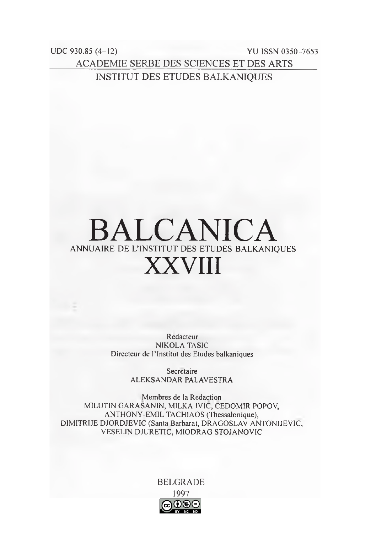$UDC$  930.85 (4-12) **YU ISSN 0350-7653 ACADEMIE SERBE DES SCIENCES ET DES ARTS INSTITUT DES ETUDES BALKANIQUES** 

## **BALCANICA** ANNUAIRE DE L'INSTITUT DES ETUDES BALKANIOUES **XXVIII**

Redacteur **NIKOLA TASIC** Directeur de l'Institut des Etudes balkaniques

> Secretaire ALEKSANDAR PALAVESTRA

Membres de la Redaction MILUTIN GARASANIN, MILKA IVIC, CEDOMIR POPOV, ANTHONY-EMIL TACHIAOS (Thessalonique), DIMITRIJE DJORDJEVIC (Santa Barbara), DRAGOSLAV ANTONIJEVIC, VESELIN DJURETIC, MIODRAG STOJANOVIC